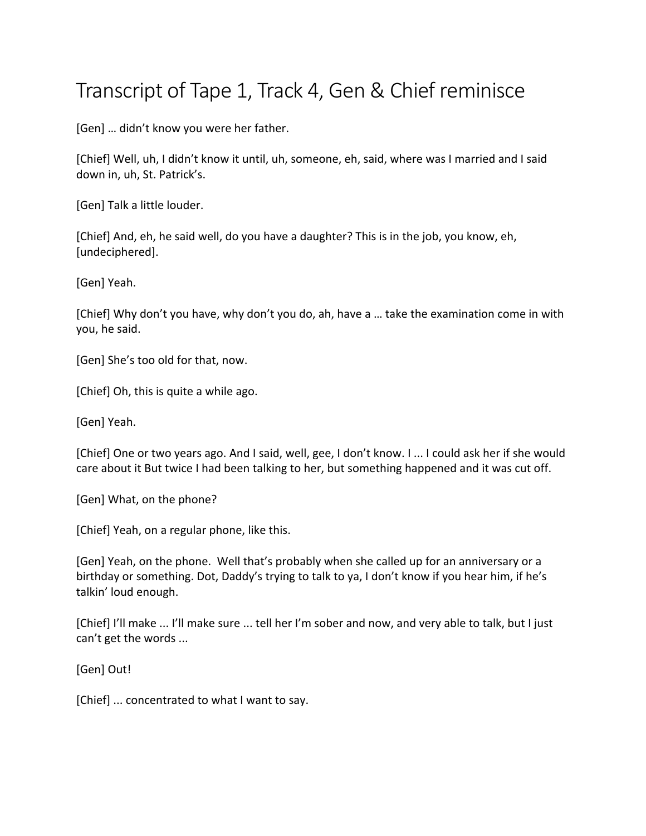## Transcript of Tape 1, Track 4, Gen & Chief reminisce

[Gen] ... didn't know you were her father.

[Chief] Well, uh, I didn't know it until, uh, someone, eh, said, where was I married and I said down in, uh, St. Patrick's.

[Gen] Talk a little louder.

[Chief] And, eh, he said well, do you have a daughter? This is in the job, you know, eh, [undeciphered]. 

[Gen] Yeah.

[Chief] Why don't you have, why don't you do, ah, have a ... take the examination come in with you, he said.

[Gen] She's too old for that, now.

[Chief] Oh, this is quite a while ago.

[Gen] Yeah.

[Chief] One or two years ago. And I said, well, gee, I don't know. I ... I could ask her if she would care about it But twice I had been talking to her, but something happened and it was cut off.

[Gen] What, on the phone?

[Chief] Yeah, on a regular phone, like this.

[Gen] Yeah, on the phone. Well that's probably when she called up for an anniversary or a birthday or something. Dot, Daddy's trying to talk to ya, I don't know if you hear him, if he's talkin' loud enough.

[Chief] I'll make ... I'll make sure ... tell her I'm sober and now, and very able to talk, but I just can't get the words ...

[Gen] Out!

[Chief] ... concentrated to what I want to say.